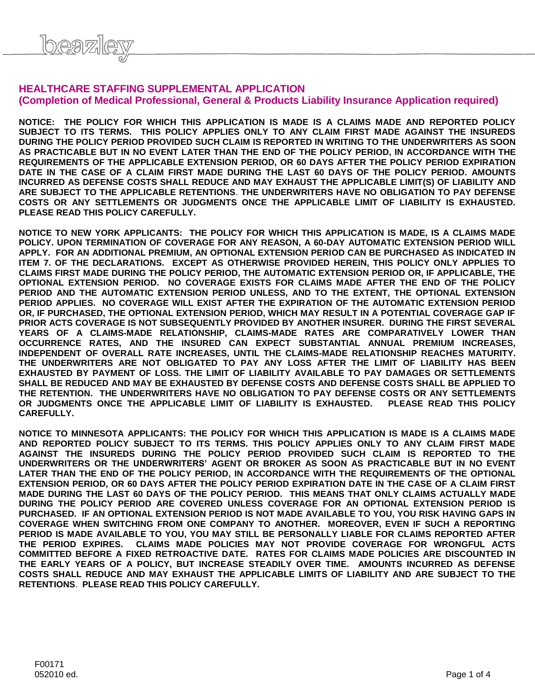## **HEALTHCARE STAFFING SUPPLEMENTAL APPLICATION (Completion of Medical Professional, General & Products Liability Insurance Application required)**

**NOTICE: THE POLICY FOR WHICH THIS APPLICATION IS MADE IS A CLAIMS MADE AND REPORTED POLICY SUBJECT TO ITS TERMS. THIS POLICY APPLIES ONLY TO ANY CLAIM FIRST MADE AGAINST THE INSUREDS DURING THE POLICY PERIOD PROVIDED SUCH CLAIM IS REPORTED IN WRITING TO THE UNDERWRITERS AS SOON AS PRACTICABLE BUT IN NO EVENT LATER THAN THE END OF THE POLICY PERIOD, IN ACCORDANCE WITH THE REQUIREMENTS OF THE APPLICABLE EXTENSION PERIOD, OR 60 DAYS AFTER THE POLICY PERIOD EXPIRATION DATE IN THE CASE OF A CLAIM FIRST MADE DURING THE LAST 60 DAYS OF THE POLICY PERIOD. AMOUNTS INCURRED AS DEFENSE COSTS SHALL REDUCE AND MAY EXHAUST THE APPLICABLE LIMIT(S) OF LIABILITY AND ARE SUBJECT TO THE APPLICABLE RETENTIONS**. **THE UNDERWRITERS HAVE NO OBLIGATION TO PAY DEFENSE COSTS OR ANY SETTLEMENTS OR JUDGMENTS ONCE THE APPLICABLE LIMIT OF LIABILITY IS EXHAUSTED. PLEASE READ THIS POLICY CAREFULLY.**

**NOTICE TO NEW YORK APPLICANTS: THE POLICY FOR WHICH THIS APPLICATION IS MADE, IS A CLAIMS MADE POLICY. UPON TERMINATION OF COVERAGE FOR ANY REASON, A 60-DAY AUTOMATIC EXTENSION PERIOD WILL APPLY. FOR AN ADDITIONAL PREMIUM, AN OPTIONAL EXTENSION PERIOD CAN BE PURCHASED AS INDICATED IN ITEM 7. OF THE DECLARATIONS. EXCEPT AS OTHERWISE PROVIDED HEREIN, THIS POLICY ONLY APPLIES TO CLAIMS FIRST MADE DURING THE POLICY PERIOD, THE AUTOMATIC EXTENSION PERIOD OR, IF APPLICABLE, THE OPTIONAL EXTENSION PERIOD. NO COVERAGE EXISTS FOR CLAIMS MADE AFTER THE END OF THE POLICY PERIOD AND THE AUTOMATIC EXTENSION PERIOD UNLESS, AND TO THE EXTENT, THE OPTIONAL EXTENSION PERIOD APPLIES. NO COVERAGE WILL EXIST AFTER THE EXPIRATION OF THE AUTOMATIC EXTENSION PERIOD**  OR, IF PURCHASED, THE OPTIONAL EXTENSION PERIOD, WHICH MAY RESULT IN A POTENTIAL COVERAGE GAP IF **PRIOR ACTS COVERAGE IS NOT SUBSEQUENTLY PROVIDED BY ANOTHER INSURER. DURING THE FIRST SEVERAL YEARS OF A CLAIMS-MADE RELATIONSHIP, CLAIMS-MADE RATES ARE COMPARATIVELY LOWER THAN OCCURRENCE RATES, AND THE INSURED CAN EXPECT SUBSTANTIAL ANNUAL PREMIUM INCREASES, INDEPENDENT OF OVERALL RATE INCREASES, UNTIL THE CLAIMS-MADE RELATIONSHIP REACHES MATURITY. THE UNDERWRITERS ARE NOT OBLIGATED TO PAY ANY LOSS AFTER THE LIMIT OF LIABILITY HAS BEEN EXHAUSTED BY PAYMENT OF LOSS. THE LIMIT OF LIABILITY AVAILABLE TO PAY DAMAGES OR SETTLEMENTS SHALL BE REDUCED AND MAY BE EXHAUSTED BY DEFENSE COSTS AND DEFENSE COSTS SHALL BE APPLIED TO THE RETENTION. THE UNDERWRITERS HAVE NO OBLIGATION TO PAY DEFENSE COSTS OR ANY SETTLEMENTS OR JUDGMENTS ONCE THE APPLICABLE LIMIT OF LIABILITY IS EXHAUSTED. PLEASE READ THIS POLICY CAREFULLY.**

**NOTICE TO MINNESOTA APPLICANTS: THE POLICY FOR WHICH THIS APPLICATION IS MADE IS A CLAIMS MADE AND REPORTED POLICY SUBJECT TO ITS TERMS. THIS POLICY APPLIES ONLY TO ANY CLAIM FIRST MADE AGAINST THE INSUREDS DURING THE POLICY PERIOD PROVIDED SUCH CLAIM IS REPORTED TO THE UNDERWRITERS OR THE UNDERWRITERS' AGENT OR BROKER AS SOON AS PRACTICABLE BUT IN NO EVENT LATER THAN THE END OF THE POLICY PERIOD, IN ACCORDANCE WITH THE REQUIREMENTS OF THE OPTIONAL EXTENSION PERIOD, OR 60 DAYS AFTER THE POLICY PERIOD EXPIRATION DATE IN THE CASE OF A CLAIM FIRST MADE DURING THE LAST 60 DAYS OF THE POLICY PERIOD. THIS MEANS THAT ONLY CLAIMS ACTUALLY MADE DURING THE POLICY PERIOD ARE COVERED UNLESS COVERAGE FOR AN OPTIONAL EXTENSION PERIOD IS PURCHASED. IF AN OPTIONAL EXTENSION PERIOD IS NOT MADE AVAILABLE TO YOU, YOU RISK HAVING GAPS IN COVERAGE WHEN SWITCHING FROM ONE COMPANY TO ANOTHER. MOREOVER, EVEN IF SUCH A REPORTING PERIOD IS MADE AVAILABLE TO YOU, YOU MAY STILL BE PERSONALLY LIABLE FOR CLAIMS REPORTED AFTER THE PERIOD EXPIRES. CLAIMS MADE POLICIES MAY NOT PROVIDE COVERAGE FOR WRONGFUL ACTS COMMITTED BEFORE A FIXED RETROACTIVE DATE. RATES FOR CLAIMS MADE POLICIES ARE DISCOUNTED IN THE EARLY YEARS OF A POLICY, BUT INCREASE STEADILY OVER TIME. AMOUNTS INCURRED AS DEFENSE COSTS SHALL REDUCE AND MAY EXHAUST THE APPLICABLE LIMITS OF LIABILITY AND ARE SUBJECT TO THE RETENTIONS**. **PLEASE READ THIS POLICY CAREFULLY.**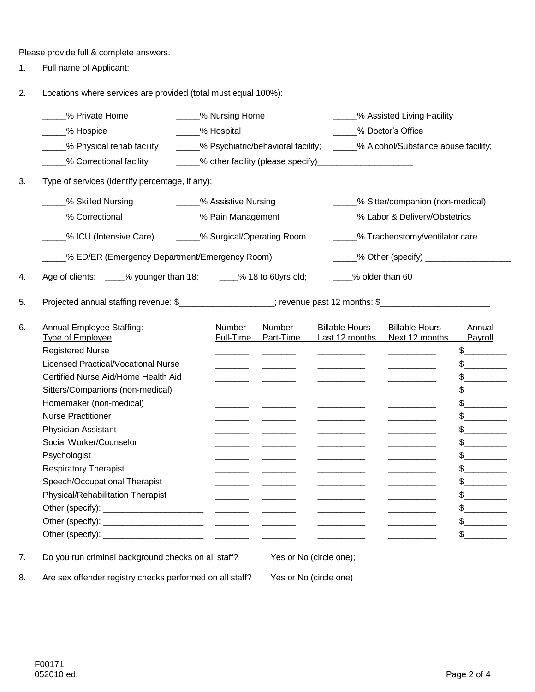Please provide full & complete answers.

1. Full name of Applicant:

2. Locations where services are provided (total must equal 100%):

| % Private Home<br>_% Hospice                                                                                 | _____% Nursing Home<br>____% Hospital |                                                                                                                       |                                                                                                                                         | _____% Assisted Living Facility<br>% Doctor's Office                                                                                                                                                                                                                                                                                                                                            |                   |  |  |  |
|--------------------------------------------------------------------------------------------------------------|---------------------------------------|-----------------------------------------------------------------------------------------------------------------------|-----------------------------------------------------------------------------------------------------------------------------------------|-------------------------------------------------------------------------------------------------------------------------------------------------------------------------------------------------------------------------------------------------------------------------------------------------------------------------------------------------------------------------------------------------|-------------------|--|--|--|
| % Physical rehab facility                                                                                    |                                       | - % Psychiatric/behavioral facility; - ____% Alcohol/Substance abuse facility;                                        |                                                                                                                                         |                                                                                                                                                                                                                                                                                                                                                                                                 |                   |  |  |  |
| % Correctional facility                                                                                      |                                       |                                                                                                                       |                                                                                                                                         |                                                                                                                                                                                                                                                                                                                                                                                                 |                   |  |  |  |
| Type of services (identify percentage, if any):                                                              |                                       |                                                                                                                       |                                                                                                                                         |                                                                                                                                                                                                                                                                                                                                                                                                 |                   |  |  |  |
| % Skilled Nursing                                                                                            | - % Assistive Nursing                 |                                                                                                                       |                                                                                                                                         | _____% Sitter/companion (non-medical)                                                                                                                                                                                                                                                                                                                                                           |                   |  |  |  |
| % Correctional                                                                                               |                                       | _____% Pain Management                                                                                                |                                                                                                                                         | _____% Labor & Delivery/Obstetrics                                                                                                                                                                                                                                                                                                                                                              |                   |  |  |  |
| _% ICU (Intensive Care)                                                                                      |                                       | _____% Surgical/Operating Room                                                                                        |                                                                                                                                         | _____% Tracheostomy/ventilator care                                                                                                                                                                                                                                                                                                                                                             |                   |  |  |  |
| % ED/ER (Emergency Department/Emergency Room)                                                                |                                       |                                                                                                                       |                                                                                                                                         |                                                                                                                                                                                                                                                                                                                                                                                                 |                   |  |  |  |
| Age of clients: ____% younger than 18; _____% 18 to 60yrs old;                                               |                                       |                                                                                                                       |                                                                                                                                         | ____% older than 60                                                                                                                                                                                                                                                                                                                                                                             |                   |  |  |  |
| Projected annual staffing revenue: \$____________________; revenue past 12 months: \$_______________________ |                                       |                                                                                                                       |                                                                                                                                         |                                                                                                                                                                                                                                                                                                                                                                                                 |                   |  |  |  |
| Annual Employee Staffing:<br>Type of Employee                                                                | Number<br>Full-Time                   | <b>Number</b><br>Part-Time                                                                                            | <b>Billable Hours</b><br>Last 12 months                                                                                                 | <b>Billable Hours</b><br>Next 12 months                                                                                                                                                                                                                                                                                                                                                         | Annual<br>Payroll |  |  |  |
| <b>Registered Nurse</b>                                                                                      |                                       |                                                                                                                       |                                                                                                                                         |                                                                                                                                                                                                                                                                                                                                                                                                 | $\frac{1}{2}$     |  |  |  |
| Licensed Practical/Vocational Nurse                                                                          |                                       |                                                                                                                       |                                                                                                                                         | <u> The Communication of the Communication of the Communication of the Communication of the Communication of the Communication of the Communication of the Communication of the Communication of the Communication of the Commun</u>                                                                                                                                                            | $\frac{1}{2}$     |  |  |  |
| Certified Nurse Aid/Home Health Aid                                                                          |                                       |                                                                                                                       |                                                                                                                                         |                                                                                                                                                                                                                                                                                                                                                                                                 | $\frac{1}{2}$     |  |  |  |
| Sitters/Companions (non-medical)                                                                             |                                       |                                                                                                                       |                                                                                                                                         |                                                                                                                                                                                                                                                                                                                                                                                                 | $\frac{1}{2}$     |  |  |  |
| Homemaker (non-medical)                                                                                      |                                       |                                                                                                                       |                                                                                                                                         |                                                                                                                                                                                                                                                                                                                                                                                                 | $\frac{1}{2}$     |  |  |  |
| <b>Nurse Practitioner</b>                                                                                    |                                       |                                                                                                                       |                                                                                                                                         | $\frac{1}{2} \left( \frac{1}{2} \frac{1}{2} \left( \frac{1}{2} \frac{1}{2} \frac{1}{2} \frac{1}{2} \frac{1}{2} \frac{1}{2} \frac{1}{2} \frac{1}{2} \frac{1}{2} \frac{1}{2} \frac{1}{2} \frac{1}{2} \frac{1}{2} \frac{1}{2} \frac{1}{2} \frac{1}{2} \frac{1}{2} \frac{1}{2} \frac{1}{2} \frac{1}{2} \frac{1}{2} \frac{1}{2} \frac{1}{2} \frac{1}{2} \frac{1}{2} \frac{1}{2} \frac{1}{2} \frac{1$ | $\frac{1}{2}$     |  |  |  |
| Physician Assistant                                                                                          |                                       | <u> La Carlo de la Carlo de la Carlo de la Carlo de la Carlo de la Carlo de la Carlo de la Carlo de la Carlo de l</u> |                                                                                                                                         |                                                                                                                                                                                                                                                                                                                                                                                                 | $\frac{1}{2}$     |  |  |  |
| Social Worker/Counselor                                                                                      |                                       |                                                                                                                       |                                                                                                                                         |                                                                                                                                                                                                                                                                                                                                                                                                 | $\frac{1}{2}$     |  |  |  |
| Psychologist                                                                                                 |                                       |                                                                                                                       |                                                                                                                                         |                                                                                                                                                                                                                                                                                                                                                                                                 | $\frac{1}{2}$     |  |  |  |
| <b>Respiratory Therapist</b>                                                                                 | $\overline{\phantom{a}}$              |                                                                                                                       |                                                                                                                                         |                                                                                                                                                                                                                                                                                                                                                                                                 | $\frac{1}{2}$     |  |  |  |
| Speech/Occupational Therapist                                                                                |                                       |                                                                                                                       |                                                                                                                                         |                                                                                                                                                                                                                                                                                                                                                                                                 | $\frac{1}{2}$     |  |  |  |
| Physical/Rehabilitation Therapist                                                                            |                                       |                                                                                                                       |                                                                                                                                         |                                                                                                                                                                                                                                                                                                                                                                                                 | \$                |  |  |  |
|                                                                                                              |                                       |                                                                                                                       |                                                                                                                                         |                                                                                                                                                                                                                                                                                                                                                                                                 | $\frac{1}{2}$     |  |  |  |
|                                                                                                              |                                       |                                                                                                                       | $\begin{aligned} \mathcal{L}_{\text{max}}(\mathcal{L}_{\text{max}}) = \mathcal{L}_{\text{max}}(\mathcal{L}_{\text{max}}) \end{aligned}$ |                                                                                                                                                                                                                                                                                                                                                                                                 | $\frac{1}{2}$     |  |  |  |
|                                                                                                              |                                       |                                                                                                                       |                                                                                                                                         |                                                                                                                                                                                                                                                                                                                                                                                                 | $\frac{1}{2}$     |  |  |  |

8. Are sex offender registry checks performed on all staff? Yes or No (circle one)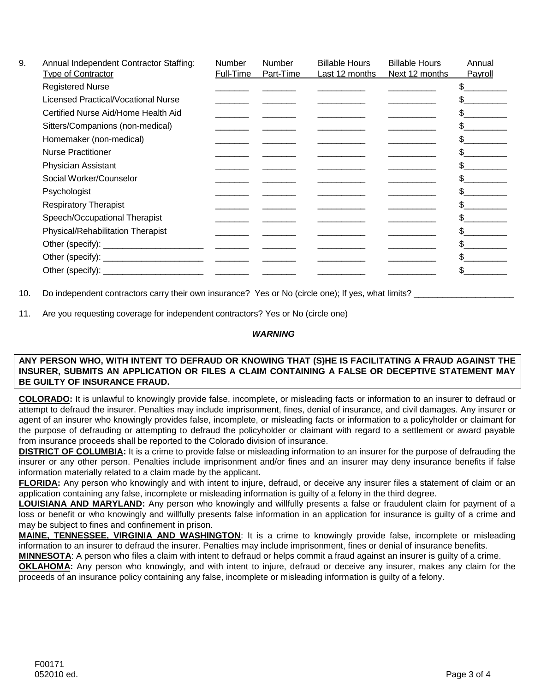| 9. | Annual Independent Contractor Staffing:<br><b>Type of Contractor</b> | <b>Number</b><br>Full-Time      | <b>Number</b><br>Part-Time | <b>Billable Hours</b><br>Last 12 months | <b>Billable Hours</b><br>Next 12 months | Annual<br>Payroll |
|----|----------------------------------------------------------------------|---------------------------------|----------------------------|-----------------------------------------|-----------------------------------------|-------------------|
|    | <b>Registered Nurse</b>                                              |                                 |                            |                                         |                                         |                   |
|    | <b>Licensed Practical/Vocational Nurse</b>                           |                                 |                            |                                         |                                         |                   |
|    | Certified Nurse Aid/Home Health Aid                                  |                                 |                            |                                         |                                         |                   |
|    | Sitters/Companions (non-medical)                                     |                                 |                            |                                         |                                         |                   |
|    | Homemaker (non-medical)                                              |                                 |                            |                                         |                                         |                   |
|    | <b>Nurse Practitioner</b>                                            |                                 |                            |                                         |                                         |                   |
|    | Physician Assistant                                                  |                                 |                            |                                         |                                         |                   |
|    | Social Worker/Counselor                                              |                                 |                            |                                         |                                         |                   |
|    | Psychologist                                                         |                                 |                            |                                         |                                         |                   |
|    | <b>Respiratory Therapist</b>                                         |                                 |                            |                                         |                                         |                   |
|    | Speech/Occupational Therapist                                        |                                 |                            |                                         |                                         |                   |
|    | Physical/Rehabilitation Therapist                                    |                                 |                            |                                         |                                         |                   |
|    | Other (specify): _________________________                           | the contract of the contract of |                            |                                         |                                         |                   |
|    |                                                                      |                                 |                            |                                         |                                         |                   |
|    | Other (specify): ______________                                      |                                 |                            |                                         |                                         |                   |

10. Do independent contractors carry their own insurance? Yes or No (circle one); If yes, what limits?

11. Are you requesting coverage for independent contractors? Yes or No (circle one)

## *WARNING*

## **ANY PERSON WHO, WITH INTENT TO DEFRAUD OR KNOWING THAT (S)HE IS FACILITATING A FRAUD AGAINST THE INSURER, SUBMITS AN APPLICATION OR FILES A CLAIM CONTAINING A FALSE OR DECEPTIVE STATEMENT MAY BE GUILTY OF INSURANCE FRAUD.**

**COLORADO:** It is unlawful to knowingly provide false, incomplete, or misleading facts or information to an insurer to defraud or attempt to defraud the insurer. Penalties may include imprisonment, fines, denial of insurance, and civil damages. Any insurer or agent of an insurer who knowingly provides false, incomplete, or misleading facts or information to a policyholder or claimant for the purpose of defrauding or attempting to defraud the policyholder or claimant with regard to a settlement or award payable from insurance proceeds shall be reported to the Colorado division of insurance.

**DISTRICT OF COLUMBIA:** It is a crime to provide false or misleading information to an insurer for the purpose of defrauding the insurer or any other person. Penalties include imprisonment and/or fines and an insurer may deny insurance benefits if false information materially related to a claim made by the applicant.

**FLORIDA:** Any person who knowingly and with intent to injure, defraud, or deceive any insurer files a statement of claim or an application containing any false, incomplete or misleading information is guilty of a felony in the third degree.

**LOUISIANA AND MARYLAND:** Any person who knowingly and willfully presents a false or fraudulent claim for payment of a loss or benefit or who knowingly and willfully presents false information in an application for insurance is guilty of a crime and may be subject to fines and confinement in prison.

**MAINE, TENNESSEE, VIRGINIA AND WASHINGTON**: It is a crime to knowingly provide false, incomplete or misleading information to an insurer to defraud the insurer. Penalties may include imprisonment, fines or denial of insurance benefits.

**MINNESOTA**: A person who files a claim with intent to defraud or helps commit a fraud against an insurer is guilty of a crime.

**OKLAHOMA:** Any person who knowingly, and with intent to injure, defraud or deceive any insurer, makes any claim for the proceeds of an insurance policy containing any false, incomplete or misleading information is guilty of a felony.